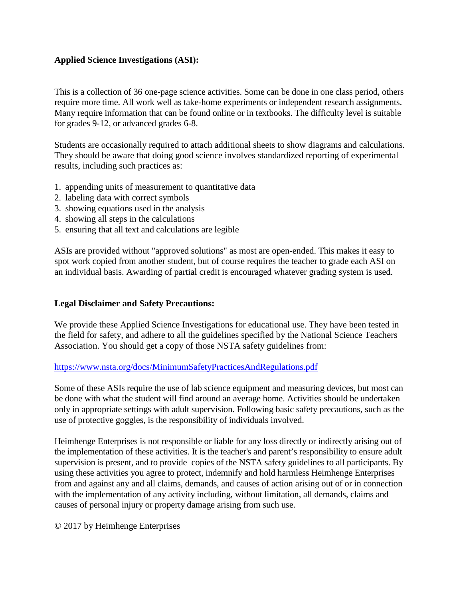# **Applied Science Investigations (ASI):**

This is a collection of 36 one-page science activities. Some can be done in one class period, others require more time. All work well as take-home experiments or independent research assignments. Many require information that can be found online or in textbooks. The difficulty level is suitable for grades 9-12, or advanced grades 6-8.

Students are occasionally required to attach additional sheets to show diagrams and calculations. They should be aware that doing good science involves standardized reporting of experimental results, including such practices as:

- 1. appending units of measurement to quantitative data
- 2. labeling data with correct symbols
- 3. showing equations used in the analysis
- 4. showing all steps in the calculations
- 5. ensuring that all text and calculations are legible

ASIs are provided without "approved solutions" as most are open-ended. This makes it easy to spot work copied from another student, but of course requires the teacher to grade each ASI on an individual basis. Awarding of partial credit is encouraged whatever grading system is used.

## **Legal Disclaimer and Safety Precautions:**

We provide these Applied Science Investigations for educational use. They have been tested in the field for safety, and adhere to all the guidelines specified by the National Science Teachers Association. You should get a copy of those NSTA safety guidelines from:

#### <https://www.nsta.org/docs/MinimumSafetyPracticesAndRegulations.pdf>

Some of these ASIs require the use of lab science equipment and measuring devices, but most can be done with what the student will find around an average home. Activities should be undertaken only in appropriate settings with adult supervision. Following basic safety precautions, such as the use of protective goggles, is the responsibility of individuals involved.

Heimhenge Enterprises is not responsible or liable for any loss directly or indirectly arising out of the implementation of these activities. It is the teacher's and parent's responsibility to ensure adult supervision is present, and to provide copies of the NSTA safety guidelines to all participants. By using these activities you agree to protect, indemnify and hold harmless Heimhenge Enterprises from and against any and all claims, demands, and causes of action arising out of or in connection with the implementation of any activity including, without limitation, all demands, claims and causes of personal injury or property damage arising from such use.

© 2017 by Heimhenge Enterprises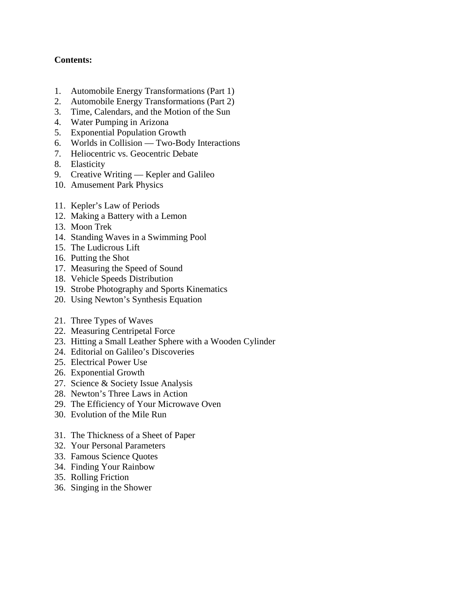# **Contents:**

- 1. Automobile Energy Transformations (Part 1)
- 2. Automobile Energy Transformations (Part 2)
- 3. Time, Calendars, and the Motion of the Sun
- 4. Water Pumping in Arizona
- 5. Exponential Population Growth
- 6. Worlds in Collision Two-Body Interactions
- 7. Heliocentric vs. Geocentric Debate
- 8. Elasticity
- 9. Creative Writing Kepler and Galileo
- 10. Amusement Park Physics
- 11. Kepler's Law of Periods
- 12. Making a Battery with a Lemon
- 13. Moon Trek
- 14. Standing Waves in a Swimming Pool
- 15. The Ludicrous Lift
- 16. Putting the Shot
- 17. Measuring the Speed of Sound
- 18. Vehicle Speeds Distribution
- 19. Strobe Photography and Sports Kinematics
- 20. Using Newton's Synthesis Equation
- 21. Three Types of Waves
- 22. Measuring Centripetal Force
- 23. Hitting a Small Leather Sphere with a Wooden Cylinder
- 24. Editorial on Galileo's Discoveries
- 25. Electrical Power Use
- 26. Exponential Growth
- 27. Science & Society Issue Analysis
- 28. Newton's Three Laws in Action
- 29. The Efficiency of Your Microwave Oven
- 30. Evolution of the Mile Run
- 31. The Thickness of a Sheet of Paper
- 32. Your Personal Parameters
- 33. Famous Science Quotes
- 34. Finding Your Rainbow
- 35. Rolling Friction
- 36. Singing in the Shower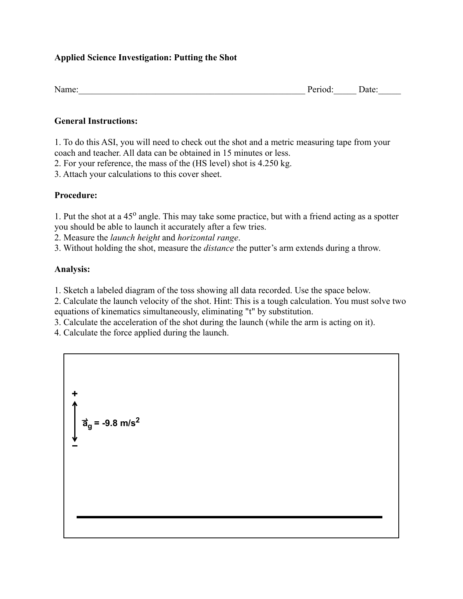# **Applied Science Investigation: Putting the Shot**

| Name.<br>ate <sup>.</sup><br>. |
|--------------------------------|
|--------------------------------|

## **General Instructions:**

1. To do this ASI, you will need to check out the shot and a metric measuring tape from your coach and teacher. All data can be obtained in 15 minutes or less.

2. For your reference, the mass of the (HS level) shot is 4.250 kg.

3. Attach your calculations to this cover sheet.

## **Procedure:**

1. Put the shot at a 45<sup>o</sup> angle. This may take some practice, but with a friend acting as a spotter you should be able to launch it accurately after a few tries.

2. Measure the *launch height* and *horizontal range*.

3. Without holding the shot, measure the *distance* the putter's arm extends during a throw.

# **Analysis:**

1. Sketch a labeled diagram of the toss showing all data recorded. Use the space below.

2. Calculate the launch velocity of the shot. Hint: This is a tough calculation. You must solve two equations of kinematics simultaneously, eliminating "t" by substitution.

3. Calculate the acceleration of the shot during the launch (while the arm is acting on it).

4. Calculate the force applied during the launch.

$$
\frac{1}{\text{a}^2} = -9.8 \text{ m/s}^2
$$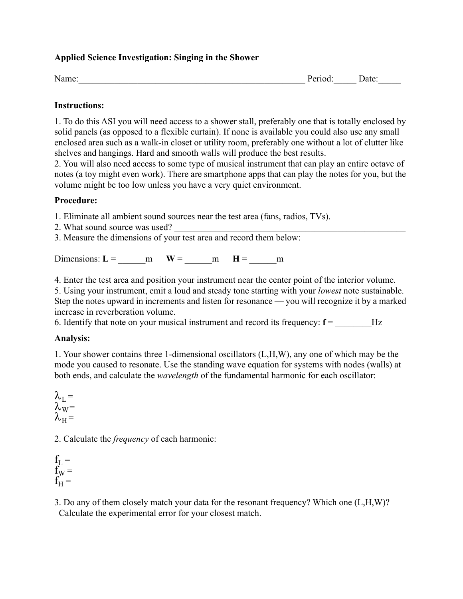# **Applied Science Investigation: Singing in the Shower**

Name: The example of the extended period: Date: Date:

## **Instructions:**

1. To do this ASI you will need access to a shower stall, preferably one that is totally enclosed by solid panels (as opposed to a flexible curtain). If none is available you could also use any small enclosed area such as a walk-in closet or utility room, preferably one without a lot of clutter like shelves and hangings. Hard and smooth walls will produce the best results.

2. You will also need access to some type of musical instrument that can play an entire octave of notes (a toy might even work). There are smartphone apps that can play the notes for you, but the volume might be too low unless you have a very quiet environment.

## **Procedure:**

- 1. Eliminate all ambient sound sources near the test area (fans, radios, TVs).
- 2. What sound source was used?
- 3. Measure the dimensions of your test area and record them below:

Dimensions:  $L =$  m  $W =$  m  $H =$  m

4. Enter the test area and position your instrument near the center point of the interior volume.

5. Using your instrument, emit a loud and steady tone starting with your *lowest* note sustainable. Step the notes upward in increments and listen for resonance — you will recognize it by a marked increase in reverberation volume.

6. Identify that note on your musical instrument and record its frequency:  $f =$   $Hz$ 

## **Analysis:**

1. Your shower contains three 1-dimensional oscillators (L,H,W), any one of which may be the mode you caused to resonate. Use the standing wave equation for systems with nodes (walls) at both ends, and calculate the *wavelength* of the fundamental harmonic for each oscillator:

 $\lambda_{\rm I} =$  $\lambda_{\rm W}$  =  $\lambda_{\rm H} =$ 

2. Calculate the *frequency* of each harmonic:

 $f<sub>L</sub>$  =  $f_{W} =$  $f_H^{\prime\prime} =$ 

3. Do any of them closely match your data for the resonant frequency? Which one (L,H,W)? Calculate the experimental error for your closest match.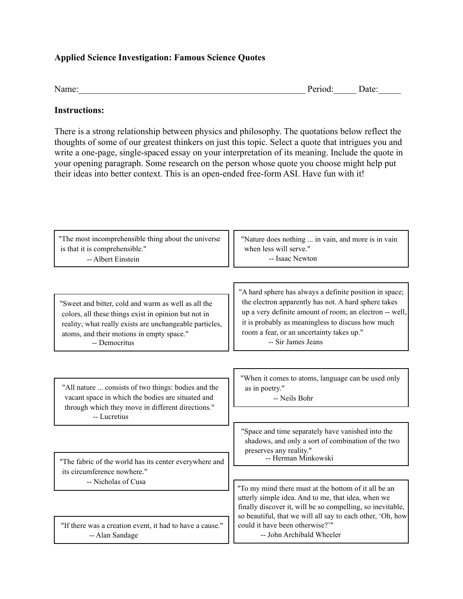## **Applied Science Investigation: Famous Science Quotes**

| Name: | Period: | Date: |
|-------|---------|-------|
|       |         |       |

### **Instructions:**

There is a strong relationship between physics and philosophy. The quotations below reflect the thoughts of some of our greatest thinkers on just this topic. Select a quote that intrigues you and write a one-page, single-spaced essay on your interpretation of its meaning. Include the quote in your opening paragraph. Some research on the person whose quote you choose might help put their ideas into better context. This is an open-ended free-form ASI. Have fun with it!

| "Nature does nothing  in vain, and more is in vain<br>when less will serve."<br>-- Isaac Newton                                                                                                                                                                                                    |
|----------------------------------------------------------------------------------------------------------------------------------------------------------------------------------------------------------------------------------------------------------------------------------------------------|
| "A hard sphere has always a definite position in space;<br>the electron apparently has not. A hard sphere takes<br>up a very definite amount of room; an electron -- well,<br>it is probably as meaningless to discuss how much<br>room a fear, or an uncertainty takes up."<br>-- Sir James Jeans |
| "When it comes to atoms, language can be used only<br>as in poetry."<br>-- Neils Bohr                                                                                                                                                                                                              |
| "Space and time separately have vanished into the<br>shadows, and only a sort of combination of the two<br>preserves any reality."<br>-- Herman Minkowski                                                                                                                                          |
| "To my mind there must at the bottom of it all be an<br>utterly simple idea. And to me, that idea, when we<br>finally discover it, will be so compelling, so inevitable,<br>so beautiful, that we will all say to each other, 'Oh, how<br>could it have been otherwise?"                           |
|                                                                                                                                                                                                                                                                                                    |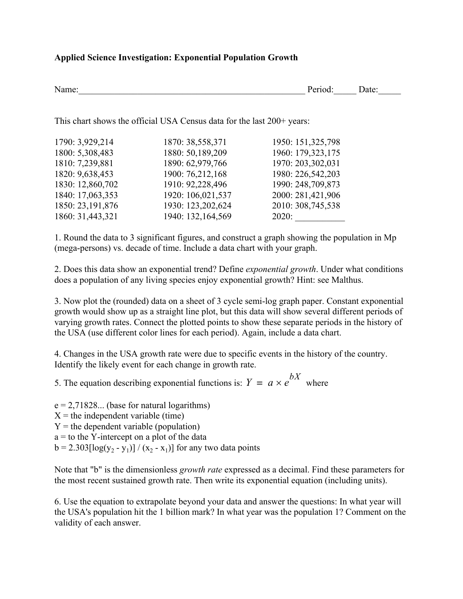## **Applied Science Investigation: Exponential Population Growth**

| Name: | 10d. | Jate: |
|-------|------|-------|
|       |      |       |

This chart shows the official USA Census data for the last 200+ years:

| 1790: 3,929,214    | 1870: 38,558,371  | 1950: 151,325,798 |
|--------------------|-------------------|-------------------|
| 1800: 5,308,483    | 1880: 50,189,209  | 1960: 179,323,175 |
| 1810: 7,239,881    | 1890: 62,979,766  | 1970: 203,302,031 |
| 1820: 9,638,453    | 1900: 76,212,168  | 1980: 226,542,203 |
| 1830: 12,860,702   | 1910: 92,228,496  | 1990: 248,709,873 |
| 1840: 17,063,353   | 1920: 106,021,537 | 2000: 281,421,906 |
| 1850: 23, 191, 876 | 1930: 123,202,624 | 2010: 308,745,538 |
| 1860: 31,443,321   | 1940: 132,164,569 | 2020:             |

1. Round the data to 3 significant figures, and construct a graph showing the population in Mp (mega-persons) vs. decade of time. Include a data chart with your graph.

2. Does this data show an exponential trend? Define *exponential growth*. Under what conditions does a population of any living species enjoy exponential growth? Hint: see Malthus.

3. Now plot the (rounded) data on a sheet of 3 cycle semi-log graph paper. Constant exponential growth would show up as a straight line plot, but this data will show several different periods of varying growth rates. Connect the plotted points to show these separate periods in the history of the USA (use different color lines for each period). Again, include a data chart.

4. Changes in the USA growth rate were due to specific events in the history of the country. Identify the likely event for each change in growth rate.

5. The equation describing exponential functions is:  $Y = a \times e^{bX}$  where

 $e = 2,71828...$  (base for natural logarithms)  $X =$  the independent variable (time)  $Y =$  the dependent variable (population)  $a =$  to the Y-intercept on a plot of the data  $b = 2.303[log(y_2 - y_1)] / (x_2 - x_1)]$  for any two data points

Note that "b" is the dimensionless *growth rate* expressed as a decimal. Find these parameters for the most recent sustained growth rate. Then write its exponential equation (including units).

6. Use the equation to extrapolate beyond your data and answer the questions: In what year will the USA's population hit the 1 billion mark? In what year was the population 1? Comment on the validity of each answer.